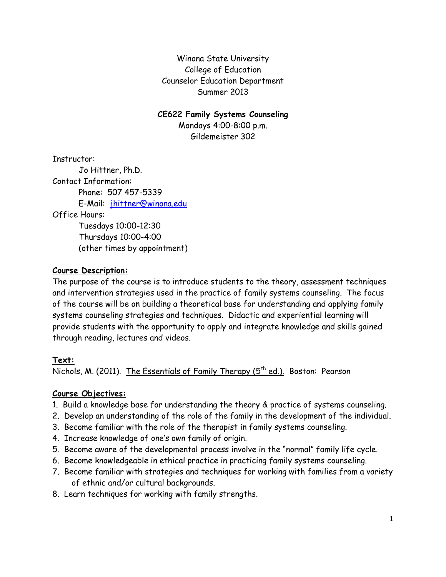Winona State University College of Education Counselor Education Department Summer 2013

#### **CE622 Family Systems Counseling**

Mondays 4:00-8:00 p.m. Gildemeister 302

Instructor: Jo Hittner, Ph.D. Contact Information: Phone: 507 457-5339 E-Mail: [jhittner@winona.edu](mailto:jhittner@winona.edu) Office Hours: Tuesdays 10:00-12:30 Thursdays 10:00-4:00 (other times by appointment)

## **Course Description:**

The purpose of the course is to introduce students to the theory, assessment techniques and intervention strategies used in the practice of family systems counseling. The focus of the course will be on building a theoretical base for understanding and applying family systems counseling strategies and techniques. Didactic and experiential learning will provide students with the opportunity to apply and integrate knowledge and skills gained through reading, lectures and videos.

## **Text:**

Nichols, M. (2011). <u>The Essentials of Family Therapy (5<sup>th</sup> ed.).</u> Boston: Pearson

## **Course Objectives:**

- 1. Build a knowledge base for understanding the theory & practice of systems counseling.
- 2. Develop an understanding of the role of the family in the development of the individual.
- 3. Become familiar with the role of the therapist in family systems counseling.
- 4. Increase knowledge of one's own family of origin.
- 5. Become aware of the developmental process involve in the "normal" family life cycle.
- 6. Become knowledgeable in ethical practice in practicing family systems counseling.
- 7. Become familiar with strategies and techniques for working with families from a variety of ethnic and/or cultural backgrounds.
- 8. Learn techniques for working with family strengths.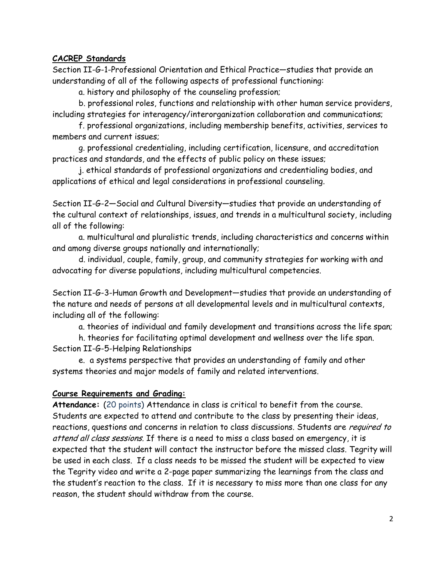## **CACREP Standards**

Section II-G-1-Professional Orientation and Ethical Practice—studies that provide an understanding of all of the following aspects of professional functioning:

a. history and philosophy of the counseling profession;

b. professional roles, functions and relationship with other human service providers, including strategies for interagency/interorganization collaboration and communications;

f. professional organizations, including membership benefits, activities, services to members and current issues;

g. professional credentialing, including certification, licensure, and accreditation practices and standards, and the effects of public policy on these issues;

j. ethical standards of professional organizations and credentialing bodies, and applications of ethical and legal considerations in professional counseling.

Section II-G-2—Social and Cultural Diversity—studies that provide an understanding of the cultural context of relationships, issues, and trends in a multicultural society, including all of the following:

a. multicultural and pluralistic trends, including characteristics and concerns within and among diverse groups nationally and internationally;

d. individual, couple, family, group, and community strategies for working with and advocating for diverse populations, including multicultural competencies.

Section II-G-3-Human Growth and Development—studies that provide an understanding of the nature and needs of persons at all developmental levels and in multicultural contexts, including all of the following:

a. theories of individual and family development and transitions across the life span;

h. theories for facilitating optimal development and wellness over the life span. Section II-G-5-Helping Relationships

e. a systems perspective that provides an understanding of family and other systems theories and major models of family and related interventions.

## **Course Requirements and Grading:**

**Attendance:** (20 points) Attendance in class is critical to benefit from the course. Students are expected to attend and contribute to the class by presenting their ideas, reactions, questions and concerns in relation to class discussions. Students are required to attend all class sessions. If there is a need to miss a class based on emergency, it is expected that the student will contact the instructor before the missed class. Tegrity will be used in each class. If a class needs to be missed the student will be expected to view the Tegrity video and write a 2-page paper summarizing the learnings from the class and the student's reaction to the class. If it is necessary to miss more than one class for any reason, the student should withdraw from the course.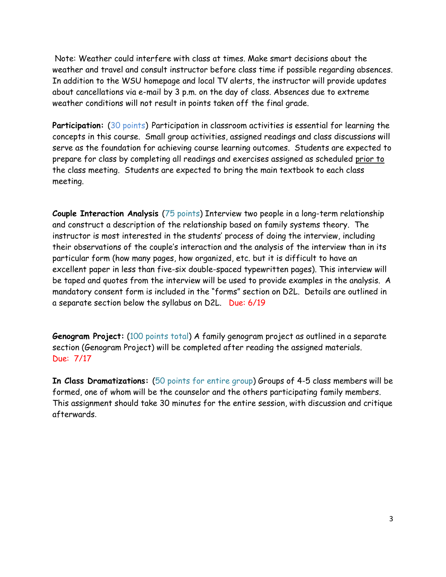Note: Weather could interfere with class at times. Make smart decisions about the weather and travel and consult instructor before class time if possible regarding absences. In addition to the WSU homepage and local TV alerts, the instructor will provide updates about cancellations via e-mail by 3 p.m. on the day of class. Absences due to extreme weather conditions will not result in points taken off the final grade.

**Participation:** (30 points) Participation in classroom activities is essential for learning the concepts in this course. Small group activities, assigned readings and class discussions will serve as the foundation for achieving course learning outcomes. Students are expected to prepare for class by completing all readings and exercises assigned as scheduled prior to the class meeting. Students are expected to bring the main textbook to each class meeting.

**Couple Interaction Analysis** (75 points) Interview two people in a long-term relationship and construct a description of the relationship based on family systems theory. The instructor is most interested in the students' process of doing the interview, including their observations of the couple's interaction and the analysis of the interview than in its particular form (how many pages, how organized, etc. but it is difficult to have an excellent paper in less than five-six double-spaced typewritten pages). This interview will be taped and quotes from the interview will be used to provide examples in the analysis. A mandatory consent form is included in the "forms" section on D2L. Details are outlined in a separate section below the syllabus on D2L. Due: 6/19

**Genogram Project:** (100 points total) A family genogram project as outlined in a separate section (Genogram Project) will be completed after reading the assigned materials. Due: 7/17

**In Class Dramatizations:** (50 points for entire group) Groups of 4-5 class members will be formed, one of whom will be the counselor and the others participating family members. This assignment should take 30 minutes for the entire session, with discussion and critique afterwards.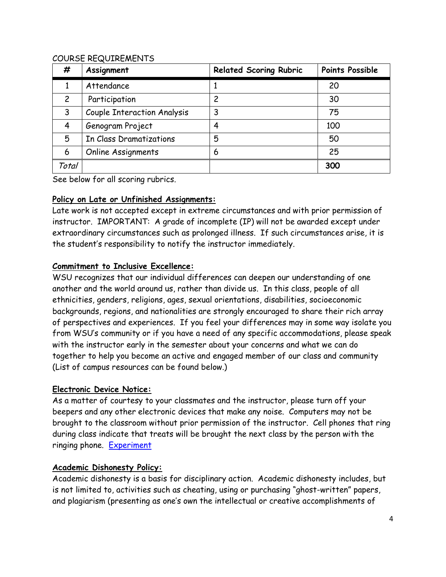## COURSE REQUIREMENTS

| #              | Assignment                         | <b>Related Scoring Rubric</b> | <b>Points Possible</b> |
|----------------|------------------------------------|-------------------------------|------------------------|
|                | Attendance                         |                               | 20                     |
| $\overline{c}$ | Participation                      | 2                             | 30                     |
| 3              | <b>Couple Interaction Analysis</b> | 3                             | 75                     |
| 4              | Genogram Project                   | 4                             | 100                    |
| 5              | In Class Dramatizations            | 5                             | 50                     |
| 6              | Online Assignments                 | 6                             | 25                     |
| Total          |                                    |                               | 300                    |

See below for all scoring rubrics.

## **Policy on Late or Unfinished Assignments:**

Late work is not accepted except in extreme circumstances and with prior permission of instructor. IMPORTANT: A grade of incomplete (IP) will not be awarded except under extraordinary circumstances such as prolonged illness. If such circumstances arise, it is the student's responsibility to notify the instructor immediately.

## **Commitment to Inclusive Excellence:**

WSU recognizes that our individual differences can deepen our understanding of one another and the world around us, rather than divide us. In this class, people of all ethnicities, genders, religions, ages, sexual orientations, disabilities, socioeconomic backgrounds, regions, and nationalities are strongly encouraged to share their rich array of perspectives and experiences. If you feel your differences may in some way isolate you from WSU's community or if you have a need of any specific accommodations, please speak with the instructor early in the semester about your concerns and what we can do together to help you become an active and engaged member of our class and community (List of campus resources can be found below.)

## **Electronic Device Notice:**

As a matter of courtesy to your classmates and the instructor, please turn off your beepers and any other electronic devices that make any noise. Computers may not be brought to the classroom without prior permission of the instructor. Cell phones that ring during class indicate that treats will be brought the next class by the person with the ringing phone. [Experiment](http://www.youtube.com/watch?v=HHQv1KdpI-8&feature=youtu.be)

## **Academic Dishonesty Policy:**

Academic dishonesty is a basis for disciplinary action. Academic dishonesty includes, but is not limited to, activities such as cheating, using or purchasing "ghost-written" papers, and plagiarism (presenting as one's own the intellectual or creative accomplishments of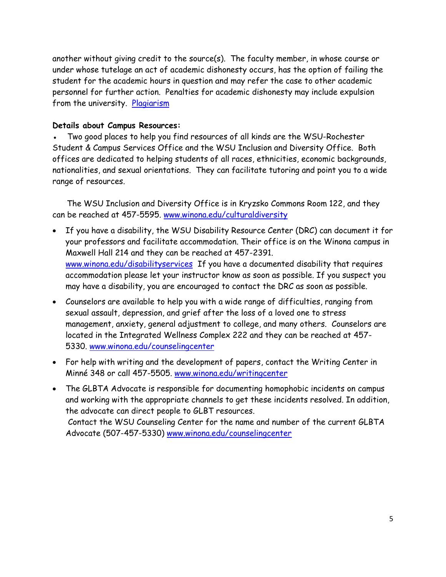another without giving credit to the source(s). The faculty member, in whose course or under whose tutelage an act of academic dishonesty occurs, has the option of failing the student for the academic hours in question and may refer the case to other academic personnel for further action. Penalties for academic dishonesty may include expulsion from the university. [Plagiarism](http://www.youtube.com/watch?v=VnTPv9PtOoo)

## **Details about Campus Resources:**

Two good places to help you find resources of all kinds are the WSU-Rochester Student & Campus Services Office and the WSU Inclusion and Diversity Office. Both offices are dedicated to helping students of all races, ethnicities, economic backgrounds, nationalities, and sexual orientations. They can facilitate tutoring and point you to a wide range of resources.

 The WSU Inclusion and Diversity Office is in Kryzsko Commons Room 122, and they can be reached at 457-5595. [www.winona.edu/culturaldiversity](http://www.winona.edu/culturaldiversity)

- If you have a disability, the WSU Disability Resource Center (DRC) can document it for your professors and facilitate accommodation. Their office is on the Winona campus in Maxwell Hall 214 and they can be reached at 457-2391. [www.winona.edu/disabilityservices](http://www.winona.edu/disabilityservices) If you have a documented disability that requires accommodation please let your instructor know as soon as possible. If you suspect you may have a disability, you are encouraged to contact the DRC as soon as possible.
- Counselors are available to help you with a wide range of difficulties, ranging from sexual assault, depression, and grief after the loss of a loved one to stress management, anxiety, general adjustment to college, and many others. Counselors are located in the Integrated Wellness Complex 222 and they can be reached at 457- 5330. [www.winona.edu/counselingcenter](http://www.winona.edu/counselingcenter)
- For help with writing and the development of papers, contact the Writing Center in Minné 348 or call 457-5505. [www.winona.edu/writingcenter](http://www.winona.edu/writingcenter)
- The GLBTA Advocate is responsible for documenting homophobic incidents on campus and working with the appropriate channels to get these incidents resolved. In addition, the advocate can direct people to GLBT resources. Contact the WSU Counseling Center for the name and number of the current GLBTA Advocate (507-457-5330) [www.winona.edu/counselingcenter](http://www.winona.edu/counselingcenter)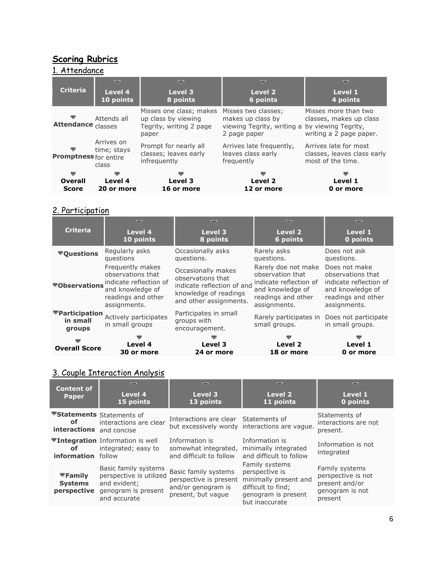# **Scoring Rubrics**

#### 1. Attendance  $\triangledown$  $\bigtriangledown$  $\bigtriangledown$  $\bigtriangledown$ **Criteria Level 4 Level 3 Level 2 Level 1 10 points 6 points 4 points 8 points** Misses more than two Misses one class; makes Misses two classes; Ψ Attends all up class by viewing makes up class by classes, makes up class **Attendance** classes Tegrity, writing 2 page viewing Tegrity, writing a by viewing Tegrity, 2 page paper writing a 2 page paper. paper Arrives on Arrives late for most Prompt for nearly all Arrives late frequently, time; stays ÷ classes; leaves early leaves class early classes, leaves class early **Promptness** for entire most of the time. infrequently frequently class **Overall Level 4 Level 3 Level 2 Level 1 Score 20 or more 16 or more 12 or more 0 or more**

#### 2. Participation

|                                      | ≂                                                                                                                                       | U                                                                                                                        | ▽                                                                                                                           | $\overline{a}$                                                                                                         |
|--------------------------------------|-----------------------------------------------------------------------------------------------------------------------------------------|--------------------------------------------------------------------------------------------------------------------------|-----------------------------------------------------------------------------------------------------------------------------|------------------------------------------------------------------------------------------------------------------------|
| <b>Criteria</b>                      | Level 4                                                                                                                                 | Level 3                                                                                                                  | Level 2                                                                                                                     | Level 1                                                                                                                |
|                                      | 10 points                                                                                                                               | 8 points                                                                                                                 | 6 points                                                                                                                    | 0 points                                                                                                               |
| ▼Questions                           | Regularly asks                                                                                                                          | Occasionally asks                                                                                                        | Rarely asks                                                                                                                 | Does not ask                                                                                                           |
|                                      | questions                                                                                                                               | questions.                                                                                                               | questions.                                                                                                                  | questions.                                                                                                             |
|                                      | Frequently makes<br>observations that<br>indicate reflection of<br>Volvervations and knowledge of<br>readings and other<br>assignments. | Occasionally makes<br>observations that<br>indicate reflection of and<br>knowledge of readings<br>and other assignments. | Rarely doe not make<br>observation that<br>indicate reflection of<br>and knowledge of<br>readings and other<br>assignments. | Does not make<br>observations that<br>indicate reflection of<br>and knowledge of<br>readings and other<br>assignments. |
| ▼Participation<br>in small<br>groups | Actively participates<br>in small groups                                                                                                | Participates in small<br>groups with<br>encouragement.                                                                   | Rarely participates in<br>small groups.                                                                                     | Does not participate<br>in small groups.                                                                               |
| <b>Overall Score</b>                 | Level 4                                                                                                                                 | Level 3                                                                                                                  | Level 2                                                                                                                     | Level 1                                                                                                                |
|                                      | 30 or more                                                                                                                              | 24 or more                                                                                                               | 18 or more                                                                                                                  | 0 or more                                                                                                              |

#### 3. Couple Interaction Analysis

| <b>Content of</b>                                           | ▽                                                                                                      | $\overline{\nabla}$                                                                        | $\overline{\nabla}$                                                                                                      | v                                                                                    |
|-------------------------------------------------------------|--------------------------------------------------------------------------------------------------------|--------------------------------------------------------------------------------------------|--------------------------------------------------------------------------------------------------------------------------|--------------------------------------------------------------------------------------|
| <b>Paper</b>                                                | Level 4<br>15 points                                                                                   | Level 3<br>13 points                                                                       | Level 2<br>11 points                                                                                                     | Level 1<br>0 points                                                                  |
| ▼Statements Statements of<br>οf<br>interactions and concise | interactions are clear                                                                                 | Interactions are clear Statements of                                                       | but excessively wordy interactions are vague.                                                                            | Statements of<br>interactions are not<br>present.                                    |
| of<br>information follow                                    | <b>▼Integration</b> Information is well<br>integrated; easy to                                         | Information is<br>somewhat integrated,<br>and difficult to follow                          | Information is<br>minimally integrated<br>and difficult to follow                                                        | Information is not<br>integrated                                                     |
| $\nabla$ Family<br><b>Systems</b><br>perspective            | Basic family systems<br>perspective is utilized<br>and evident;<br>genogram is present<br>and accurate | Basic family systems<br>perspective is present<br>and/or genogram is<br>present, but vague | Family systems<br>perspective is<br>minimally present and<br>difficult to find;<br>genogram is present<br>but inaccurate | Family systems<br>perspective is not<br>present and/or<br>genogram is not<br>present |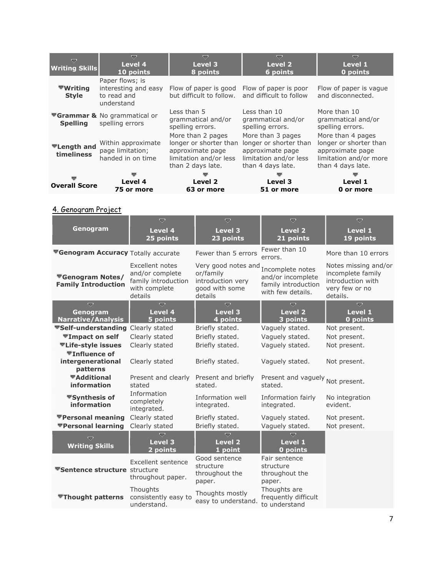| ≂<br><b>Writing Skills</b>                   | ≂<br>Level 4<br>10 points                                            | ▽<br>Level 3<br>8 points                                                                                       | $\overline{\nabla}$<br>Level 2<br>6 points                                                                     | v<br>Level 1<br>0 points                                                                                       |
|----------------------------------------------|----------------------------------------------------------------------|----------------------------------------------------------------------------------------------------------------|----------------------------------------------------------------------------------------------------------------|----------------------------------------------------------------------------------------------------------------|
| $\blacktriangledown$ Writing<br><b>Style</b> | Paper flows; is<br>interesting and easy<br>to read and<br>understand | Flow of paper is good<br>but difficult to follow.                                                              | Flow of paper is poor<br>and difficult to follow                                                               | Flow of paper is vague<br>and disconnected.                                                                    |
| <b>Spelling</b>                              | <b>▼Grammar &amp; No grammatical or</b><br>spelling errors           | Less than 5<br>grammatical and/or<br>spelling errors.                                                          | Less than 10<br>grammatical and/or<br>spelling errors.                                                         | More than 10<br>grammatical and/or<br>spelling errors.                                                         |
| <b>▼Length and</b><br>timeliness             | Within approximate<br>page limitation;<br>handed in on time          | More than 2 pages<br>longer or shorter than<br>approximate page<br>limitation and/or less<br>than 2 days late. | More than 3 pages<br>longer or shorter than<br>approximate page<br>limitation and/or less<br>than 4 days late. | More than 4 pages<br>longer or shorter than<br>approximate page<br>limitation and/or more<br>than 4 days late. |
| <b>Overall Score</b>                         | Level 4<br>75 or more                                                | Level 2<br>63 or more                                                                                          | Level 3<br>51 or more                                                                                          | Level 1<br>0 or more                                                                                           |

4. Genogram Project

|                                                       | $\overline{\nabla}$                                                                   | U                                                                                  | ᇦ                                                                                 | $\overline{\nabla}$                                                                          |
|-------------------------------------------------------|---------------------------------------------------------------------------------------|------------------------------------------------------------------------------------|-----------------------------------------------------------------------------------|----------------------------------------------------------------------------------------------|
| Genogram                                              | <b>Level 4</b><br>25 points                                                           | <b>Level 3</b><br>23 points                                                        | <b>Level 2</b><br>21 points                                                       | <b>Level 1</b><br>19 points                                                                  |
| <b>Genogram Accuracy Totally accurate</b>             |                                                                                       | Fewer than 5 errors                                                                | Fewer than 10<br>errors.                                                          | More than 10 errors                                                                          |
| <b>▼Genogram Notes/</b><br><b>Family Introduction</b> | Excellent notes<br>and/or complete<br>family introduction<br>with complete<br>details | Very good notes and<br>or/family<br>introduction very<br>good with some<br>details | Incomplete notes<br>and/or incomplete<br>family introduction<br>with few details. | Notes missing and/or<br>incomplete family<br>introduction with<br>very few or no<br>details. |
| U                                                     | $\overline{\nabla}$                                                                   | $\overline{\nabla}$                                                                | $\overline{\nabla}$                                                               | $\overline{\triangledown}$                                                                   |
| Genogram<br><b>Narrative/Analysis</b>                 | <b>Level 4</b><br>5 points                                                            | <b>Level 3</b><br>4 points                                                         | <b>Level 2</b><br>3 points                                                        | <b>Level 1</b><br>0 points                                                                   |
| ▼Self-understanding Clearly stated                    |                                                                                       | Briefly stated.                                                                    | Vaguely stated.                                                                   | Not present.                                                                                 |
| <b>▼Impact on self</b>                                | Clearly stated                                                                        | Briefly stated.                                                                    | Vaguely stated.                                                                   | Not present.                                                                                 |
| <b>▼Life-style issues</b>                             | Clearly stated                                                                        | Briefly stated.                                                                    | Vaguely stated.                                                                   | Not present.                                                                                 |
| <b>▼Influence of</b><br>intergenerational<br>patterns | Clearly stated                                                                        | Briefly stated.                                                                    | Vaguely stated.                                                                   | Not present.                                                                                 |
| ▼Additional<br>information                            | Present and clearly<br>stated                                                         | Present and briefly<br>stated.                                                     | Present and vaguely Not present.<br>stated.                                       |                                                                                              |
| <b>▼Synthesis of</b><br>information                   | Information<br>completely<br>integrated.                                              | Information well<br>integrated.                                                    | Information fairly<br>integrated.                                                 | No integration<br>evident.                                                                   |
| ▼Personal meaning<br>▼Personal learning               | Clearly stated<br>Clearly stated                                                      | Briefly stated.<br>Briefly stated.                                                 | Vaguely stated.<br>Vaguely stated.                                                | Not present.<br>Not present.                                                                 |
| U<br><b>Writing Skills</b>                            | Ó<br><b>Level 3</b><br>2 points                                                       | $\overline{\nabla}$<br><b>Level 2</b><br>1 point                                   | $\overline{\nabla}$<br><b>Level 1</b><br>0 points                                 |                                                                                              |
| <b>Sentence structure</b> structure                   | <b>Excellent sentence</b><br>throughout paper.                                        | Good sentence<br>structure<br>throughout the<br>paper.                             | Fair sentence<br>structure<br>throughout the<br>paper.                            |                                                                                              |
| <b>▼Thought patterns</b>                              | Thoughts<br>consistently easy to<br>understand.                                       | Thoughts mostly<br>easy to understand.                                             | Thoughts are<br>frequently difficult<br>to understand                             |                                                                                              |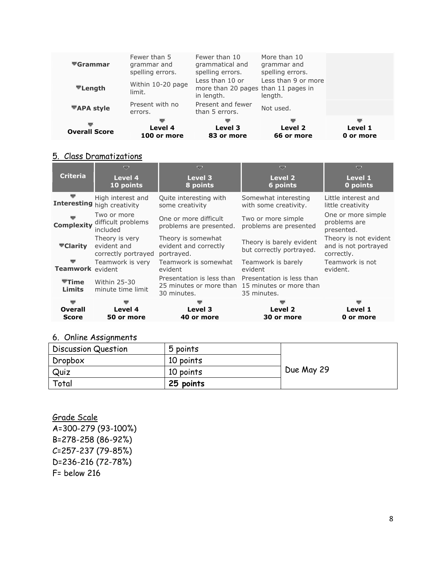| $\blacktriangledown$ Grammar<br>$\overline{\mathbf{v}}$ Length | Fewer than 5<br>grammar and<br>spelling errors.<br>Within 10-20 page<br>limit. | Fewer than 10<br>grammatical and<br>spelling errors.<br>Less than 10 or<br>more than 20 pages than 11 pages in<br>in length. | More than 10<br>grammar and<br>spelling errors.<br>Less than 9 or more<br>length. |                           |
|----------------------------------------------------------------|--------------------------------------------------------------------------------|------------------------------------------------------------------------------------------------------------------------------|-----------------------------------------------------------------------------------|---------------------------|
| <b>▼APA style</b>                                              | Present with no<br>errors.                                                     | Present and fewer<br>than 5 errors.                                                                                          | Not used.                                                                         |                           |
| ᇦ<br><b>Overall Score</b>                                      | v<br>Level 4<br>100 or more                                                    | ▼<br>Level 3<br>83 or more                                                                                                   | Level 2<br>66 or more                                                             | ᇦ<br>Level 1<br>0 or more |

## 5. Class Dramatizations

|                           | ▽                                                    | U                                                                                           | U                                                    | ᇦ                                                           |
|---------------------------|------------------------------------------------------|---------------------------------------------------------------------------------------------|------------------------------------------------------|-------------------------------------------------------------|
| <b>Criteria</b>           | Level 4<br>10 points                                 | Level 3<br>8 points                                                                         | Level 2<br>6 points                                  | Level 1<br>0 points                                         |
| ▽                         | High interest and<br>Interesting high creativity     | Quite interesting with<br>some creativity                                                   | Somewhat interesting<br>with some creativity.        | Little interest and<br>little creativity                    |
| <b>Complexity</b>         | Two or more<br>difficult problems<br>included        | One or more difficult<br>problems are presented.                                            | Two or more simple<br>problems are presented         | One or more simple<br>problems are<br>presented.            |
| ▼Clarity                  | Theory is very<br>evident and<br>correctly portrayed | Theory is somewhat<br>evident and correctly<br>portrayed.                                   | Theory is barely evident<br>but correctly portrayed. | Theory is not evident<br>and is not portrayed<br>correctly. |
| ▽<br>Teamwork evident     | Teamwork is very                                     | Teamwork is somewhat<br>evident                                                             | Teamwork is barely<br>evident                        | Teamwork is not<br>evident.                                 |
| $T$ Time<br><b>Limits</b> | <b>Within 25-30</b><br>minute time limit             | Presentation is less than<br>25 minutes or more than 15 minutes or more than<br>30 minutes. | Presentation is less than<br>35 minutes.             |                                                             |
| ᆖ                         |                                                      |                                                                                             |                                                      |                                                             |
| <b>Overall</b>            | Level 4                                              | Level 3                                                                                     | Level 2                                              | Level 1                                                     |
| Score                     | 50 or more                                           | 40 or more                                                                                  | 30 or more                                           | 0 or more                                                   |

# 6. Online Assignments

| Discussion Question | 5 points  |            |
|---------------------|-----------|------------|
| Dropbox             | 10 points |            |
| Quiz                | 10 points | Due May 29 |
| Total               | 25 points |            |

Grade Scale A=300-279 (93-100%) B=278-258 (86-92%) C=257-237 (79-85%) D=236-216 (72-78%) F= below 216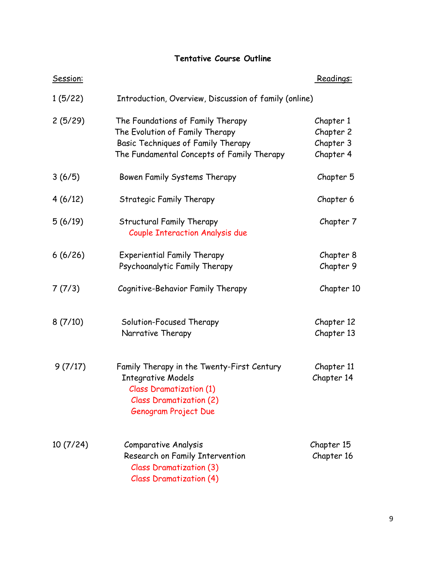# **Tentative Course Outline**

| Session: |                                                                                                                                                                     | Readings:                                        |
|----------|---------------------------------------------------------------------------------------------------------------------------------------------------------------------|--------------------------------------------------|
| 1(5/22)  | Introduction, Overview, Discussion of family (online)                                                                                                               |                                                  |
| 2(5/29)  | The Foundations of Family Therapy<br>The Evolution of Family Therapy<br>Basic Techniques of Family Therapy<br>The Fundamental Concepts of Family Therapy            | Chapter 1<br>Chapter 2<br>Chapter 3<br>Chapter 4 |
| 3(6/5)   | Bowen Family Systems Therapy                                                                                                                                        | Chapter 5                                        |
| 4(6/12)  | Strategic Family Therapy                                                                                                                                            | Chapter 6                                        |
| 5(6/19)  | <b>Structural Family Therapy</b><br><b>Couple Interaction Analysis due</b>                                                                                          | Chapter 7                                        |
| 6(6/26)  | <b>Experiential Family Therapy</b><br>Psychoanalytic Family Therapy                                                                                                 | Chapter 8<br>Chapter 9                           |
| 7(7/3)   | Cognitive-Behavior Family Therapy                                                                                                                                   | Chapter 10                                       |
| 8(7/10)  | Solution-Focused Therapy<br>Narrative Therapy                                                                                                                       | Chapter 12<br>Chapter 13                         |
| 9(7/17)  | Family Therapy in the Twenty-First Century<br><b>Integrative Models</b><br><b>Class Dramatization (1)</b><br><b>Class Dramatization (2)</b><br>Genogram Project Due | Chapter 11<br>Chapter 14                         |
| 10(7/24) | <b>Comparative Analysis</b><br>Research on Family Intervention<br><b>Class Dramatization (3)</b><br><b>Class Dramatization (4)</b>                                  | Chapter 15<br>Chapter 16                         |